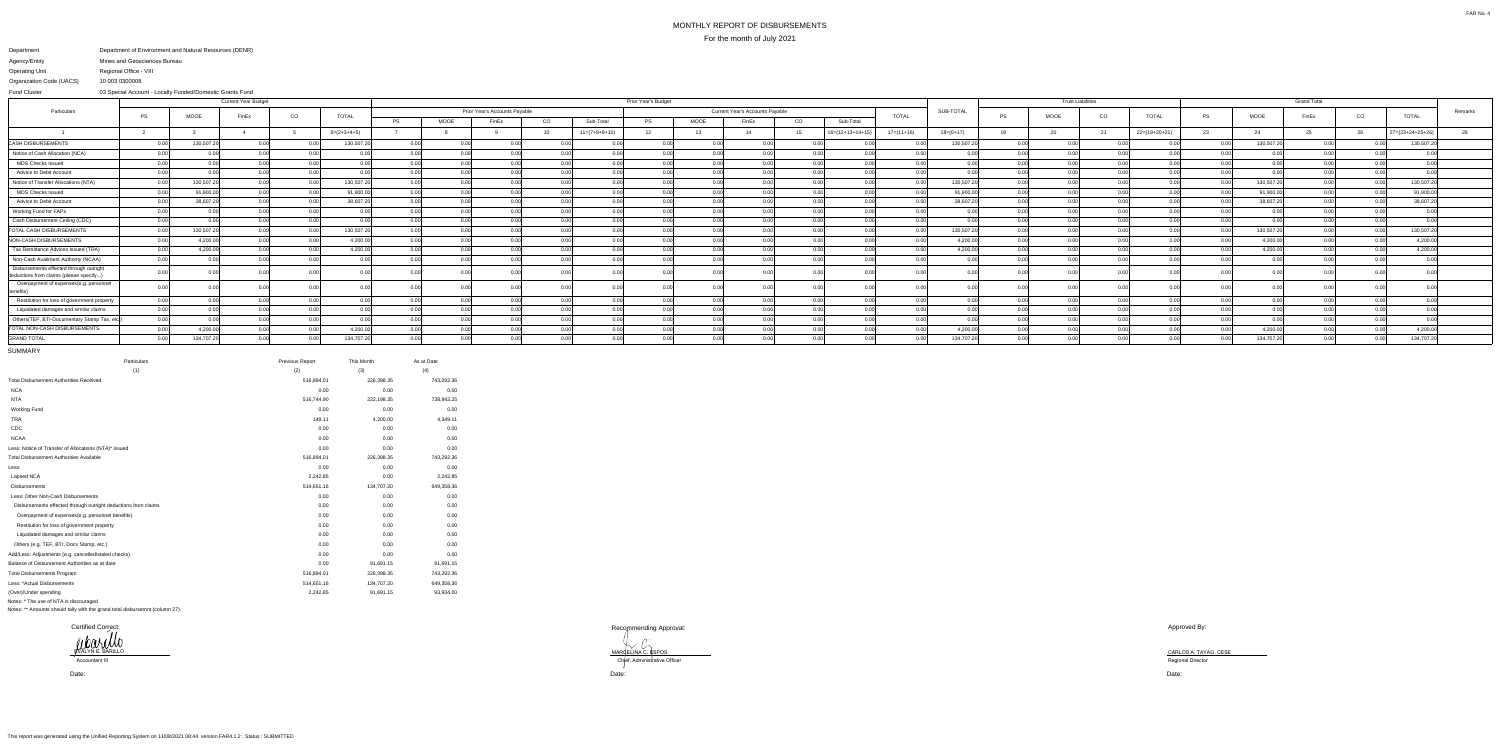## MONTHLY REPORT OF DISBURSEMENTSFor the month of July 2021

Recommending Approval:

MARCELINA C. ESPOS<br>Chief, Administrative Officer

## Department Agency/EntityOperating Unit Organization Code (UACS) Department of Environment and Natural Resources (DENR) Mines and Geosciences BureauRegional Office - VIII10 003 0300008

 03 Special Account - Locally Funded/Domestic Grants FundFund Cluster

|                                                                                    | <b>Current Year Budget</b> |                   |       |                   |               | Prior Year's Budget |                               |       |       |                 |                                                        |                |       |                 |                            |              |             | <b>Trust Liabilities</b> |               |      |                 |    |            |       |      |                    |         |
|------------------------------------------------------------------------------------|----------------------------|-------------------|-------|-------------------|---------------|---------------------|-------------------------------|-------|-------|-----------------|--------------------------------------------------------|----------------|-------|-----------------|----------------------------|--------------|-------------|--------------------------|---------------|------|-----------------|----|------------|-------|------|--------------------|---------|
| Particulars                                                                        |                            |                   |       | CO                | <b>TOTAL</b>  |                     | Prior Year's Accounts Payable |       |       |                 | <b>Current Year's Accounts Payable</b><br><b>TOTAL</b> |                |       |                 |                            |              |             |                          |               | CO   |                 | PS |            |       |      |                    | Remarks |
|                                                                                    | P:                         | <b>MOOE</b>       | FinEx |                   |               | PS                  | MOOE                          | FinEx | CO    | Sub-Total       | <b>PS</b>                                              | <b>MOOE</b>    | FinEx | CO <sub>.</sub> | Sub-Total                  |              |             | PS                       | MOOE          |      | <b>TOTAL</b>    |    | MOOE       | FinEx | CO   | <b>TOTAL</b>       |         |
|                                                                                    |                            |                   |       |                   | $6=(2+3+4+5)$ |                     |                               |       |       | $11=(7+8+9+10)$ | 12 <sup>7</sup>                                        |                |       |                 | $16 = (12 + 13 + 14 + 15)$ | $17=(11+16)$ | $18=(6+17)$ |                          |               |      | $22=(19+20+21)$ | 23 |            |       | 26   | $27=(23+24+25+26)$ |         |
| <b>CASH DISBURSEMENTS</b>                                                          |                            | 130,507.20        | n nn  |                   | 130,507.20    | 0.00                |                               | ገ በበ  |       |                 |                                                        | 0.00           |       |                 |                            |              | 130,507.20  |                          |               |      |                 |    | 130,507.20 | 0.00  |      | 130,507.2          |         |
| Notice of Cash Allocation (NCA)                                                    |                            | 0.00              | ი იი  | n nnl             | ስ ስስ          | 0.00                |                               | n nn  |       | n nr            |                                                        | n nr           |       | n nn            |                            |              |             |                          |               |      | n nnl           |    | n nnl      |       |      |                    |         |
| <b>MDS Checks Issued</b>                                                           |                            | 0.00 <sub>l</sub> | n nn  | n ool             | n ool         | 0.00                |                               | n nn  |       | 0.00            | 0.00                                                   | n no           |       | 0.00            |                            |              | 0.00        |                          |               | 0.00 | 0.001           |    | 0.00       | n nn  | 0.00 | 0.00               |         |
| Advice to Debit Account                                                            |                            | 0.OO              |       | . വ               | n ool         | 0.00                |                               |       |       | 0.00            |                                                        |                |       |                 |                            |              | 0.00        |                          |               |      |                 |    | 0.00       | 0.00  |      | 0.00               |         |
| Notice of Transfer Allocations (NTA)                                               |                            | 130,507.2         |       |                   | 130,507.20    | 0.00                |                               |       |       | . വ             |                                                        | 0 <sub>0</sub> |       |                 |                            |              | 130,507.20  |                          |               | n nr |                 |    | 130,507.20 |       | n nr | 130,507.2          |         |
| <b>MDS Checks Issued</b>                                                           |                            | 91,900.00         | 0.00  | 0.00 <sup>1</sup> | 91,900.00     | 0.00                |                               | n nn  | n ool | 0.00            | 0.00                                                   | 0.00           |       | 0.00            |                            |              | 91,900.00   |                          | $\cap$ $\cap$ | 0.00 | 0.00            |    | 91,900.00  | 0.00  | 0.00 | 91,900.00          |         |
| Advice to Debit Account                                                            |                            | 38,607.20         | ስ ሰሰ  | 0.001             | 38,607.20     | 0.00                |                               | 0.00  |       | 0.00            | 0.00                                                   | 0.00           |       | 0.00            |                            |              | 38,607.20   |                          |               | 0.00 |                 |    | 38,607.20  | 0.00  | 0.00 | 38,607.20          |         |
| Working Fund for FAPs                                                              |                            | 0.00              |       | 0.00              | 0.00l         | 0.00                |                               | 0.00  |       | 0.00            |                                                        | 0.0            |       | 0.00            |                            |              | 0.00        |                          |               |      |                 |    | 0.00       | 0.00  | 0.00 |                    |         |
| Cash Disbursement Ceiling (CDC)                                                    |                            |                   |       |                   |               | 0.00                |                               |       |       |                 |                                                        |                |       |                 |                            |              | 0.00        |                          |               |      |                 |    | 0.00       |       |      |                    |         |
| <b>TOTAL CASH DISBURSEMENTS</b>                                                    |                            | 130,507.20        |       |                   | 130,507.20    | 0.00                |                               |       |       | 0.0             |                                                        |                |       |                 |                            |              | 130,507.20  |                          |               |      |                 |    | 130,507.20 |       |      | 130,507.2          |         |
| NON-CASH DISBURSEMENTS                                                             |                            | 4,200.00          |       |                   | 4,200.00      | 0.00 <sub>1</sub>   |                               |       |       |                 |                                                        |                |       |                 |                            |              | 4,200.00    |                          |               |      |                 |    | 4,200.00   |       |      | 4,200.00           |         |
| Tax Remittance Advices Issued (TRA)                                                |                            | 4,200.00          |       | n nnl             | 4,200.00      | 0.00                |                               | n nn  |       | 0.00            |                                                        | 0.00           |       | n nn            |                            |              | 4,200.00    |                          |               | 0.OC |                 |    | 4,200.00   |       | n nr | 4,200.00           |         |
| Non-Cash Availment Authority (NCAA)                                                | 0.00                       | 0.00              |       | n nn              | n nnl         | 0.00                |                               | n nn  |       | 0.00            |                                                        | 0.0            |       |                 |                            |              | 0.00        |                          |               |      |                 |    | 0.00       | 0.00  | n no | 0.00               |         |
| Disbursements effected through outright<br>deductions from claims (please specify) |                            |                   |       |                   |               | ገ በበ                |                               |       |       |                 |                                                        | $\cap$ $\cap$  |       |                 |                            |              |             |                          |               |      |                 |    | ገ በበ       |       |      |                    |         |
| Overpayment of expenses(e.g. personnel<br>งenefits)                                |                            |                   |       |                   |               |                     |                               |       |       |                 |                                                        |                |       |                 |                            |              |             |                          |               |      |                 |    |            |       |      |                    |         |
| Restitution for loss of government property                                        | 0.00                       | 0.00              |       | n nn              | n nnl         | 0.00                |                               |       |       | 0.00            |                                                        | 0.00           | 0.00  |                 |                            |              | 0.00        |                          |               |      |                 |    | 0.00       |       | n nr | 0.00               |         |
| Liquidated damages and similar claims                                              | 0.00                       | 0.00              | 0.00  | n nnl             | n nnl         | 0.00                |                               |       | 0.00  | 0.00            |                                                        | 0.00           |       | 0.00            |                            | 0.00         | 0.00        |                          |               | 0.00 |                 |    | 0.00       |       | 0.00 | 0.00 <sup>1</sup>  |         |
| Others(TEF, BTr-Documentary Stamp Tax, etc.                                        | 0.00                       | 0.00              |       | n nnl             | n nnl         | 0.00                |                               |       |       | 0.00            | 0.00                                                   | n nr           |       | 0.00            |                            | 0.00         | 0.00        |                          |               | 0.00 |                 |    | 0.00       |       | n nr | 0.00               |         |
| TOTAL NON-CASH DISBURSEMENTS                                                       |                            | 4,200.00          |       |                   | 4,200.00      | 0.00                |                               |       |       | 0.0(            |                                                        |                |       |                 |                            |              | 4,200.00    |                          |               |      |                 |    | 4,200.00   |       | n no | 4,200.00           |         |
| <b>GRAND TOTAL</b>                                                                 |                            | 134,707.2         |       |                   | 134,707.20    | n nn                |                               | n nn  |       | 0.00            |                                                        | 0.00           |       |                 |                            |              | 134,707.20  |                          |               |      |                 |    | 134,707.20 | 0.00  |      | 134,707.2          |         |
|                                                                                    |                            |                   |       |                   |               |                     |                               |       |       |                 |                                                        |                |       |                 |                            |              |             |                          |               |      |                 |    |            |       |      |                    |         |

SUMMARY

| Particulars                                                    | Previous Report | This Month | As at Date |
|----------------------------------------------------------------|-----------------|------------|------------|
| (1)                                                            | (2)             | (3)        | (4)        |
| <b>Total Disbursement Authorities Received</b>                 | 516,894.01      | 226,398.35 | 743,292.36 |
| <b>NCA</b>                                                     | 0.00            | 0.00       | 0.00       |
| <b>NTA</b>                                                     | 516,744.90      | 222,198.35 | 738,943.25 |
| <b>Working Fund</b>                                            | 0.00            | 0.00       | 0.00       |
| <b>TRA</b>                                                     | 149.11          | 4,200.00   | 4,349.11   |
| CDC                                                            | 0.00            | 0.00       | 0.00       |
| <b>NCAA</b>                                                    | 0.00            | 0.00       | 0.00       |
| Less: Notice of Transfer of Allocations (NTA)* issued          | 0.00            | 0.00       | 0.00       |
| <b>Total Disbursement Authorities Available</b>                | 516,894.01      | 226,398.35 | 743,292.36 |
| Less:                                                          | 0.00            | 0.00       | 0.00       |
| Lapsed NCA                                                     | 2,242.85        | 0.00       | 2,242.85   |
| <b>Disbursements</b>                                           | 514,651.16      | 134,707.20 | 649,358.36 |
| Less: Other Non-Cash Disbursements                             | 0.00            | 0.00       | 0.00       |
| Disbursements effected through outright deductions from claims | 0.00            | 0.00       | 0.00       |
| Overpayment of expenses(e.g. personnel benefits)               | 0.00            | 0.00       | 0.00       |
| Restitution for loss of government property                    | 0.00            | 0.00       | 0.00       |
| Liquidated damages and similar claims                          | 0.00            | 0.00       | 0.00       |
| Others (e.g. TEF, BTr, Docs Stamp, etc.)                       | 0.00            | 0.00       | 0.00       |
| Add/Less: Adjustments (e.g. cancelled/staled checks)           | 0.00            | 0.00       | 0.00       |
| Balance of Disbursement Authorities as at date                 | 0.00            | 91,691.15  | 91,691.15  |
| <b>Total Disbursements Program</b>                             | 516,894.01      | 226,398.35 | 743,292.36 |
| Less: *Actual Disbursements                                    | 514,651.16      | 134,707.20 | 649,358.36 |
| (Over)/Under spending                                          | 2,242.85        | 91,691.15  | 93,934.00  |
| Notes: * The use of NTA is discouraged                         |                 |            |            |

Notes: \*\* Amounts should tally with the grand total disbursemnt (column 27).

Approved By:

Date:

Date: Date:

Certified Correct:EVALYN E. BARILLO

Accountant III

CARLOS A. TAYAG, CESE Regional Director